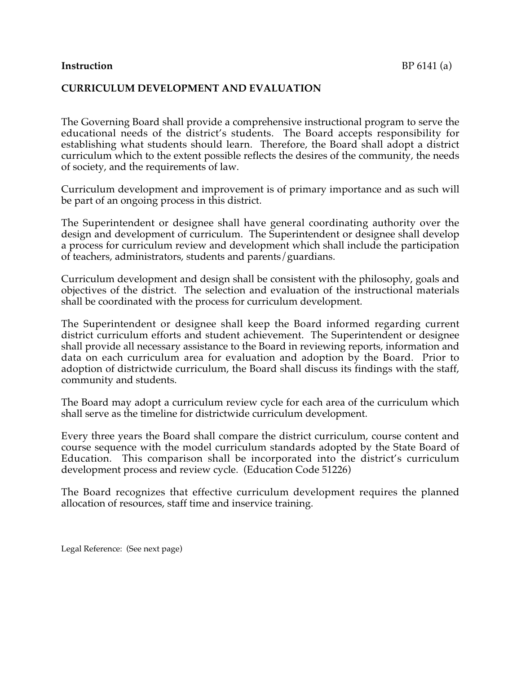## **Instruction** BP 6141 (a)

## **CURRICULUM DEVELOPMENT AND EVALUATION**

The Governing Board shall provide a comprehensive instructional program to serve the educational needs of the district's students. The Board accepts responsibility for establishing what students should learn. Therefore, the Board shall adopt a district curriculum which to the extent possible reflects the desires of the community, the needs of society, and the requirements of law.

Curriculum development and improvement is of primary importance and as such will be part of an ongoing process in this district.

The Superintendent or designee shall have general coordinating authority over the design and development of curriculum. The Superintendent or designee shall develop a process for curriculum review and development which shall include the participation of teachers, administrators, students and parents/guardians.

Curriculum development and design shall be consistent with the philosophy, goals and objectives of the district. The selection and evaluation of the instructional materials shall be coordinated with the process for curriculum development.

The Superintendent or designee shall keep the Board informed regarding current district curriculum efforts and student achievement. The Superintendent or designee shall provide all necessary assistance to the Board in reviewing reports, information and data on each curriculum area for evaluation and adoption by the Board. Prior to adoption of districtwide curriculum, the Board shall discuss its findings with the staff, community and students.

The Board may adopt a curriculum review cycle for each area of the curriculum which shall serve as the timeline for districtwide curriculum development.

Every three years the Board shall compare the district curriculum, course content and course sequence with the model curriculum standards adopted by the State Board of Education. This comparison shall be incorporated into the district's curriculum development process and review cycle. (Education Code 51226)

The Board recognizes that effective curriculum development requires the planned allocation of resources, staff time and inservice training.

Legal Reference: (See next page)